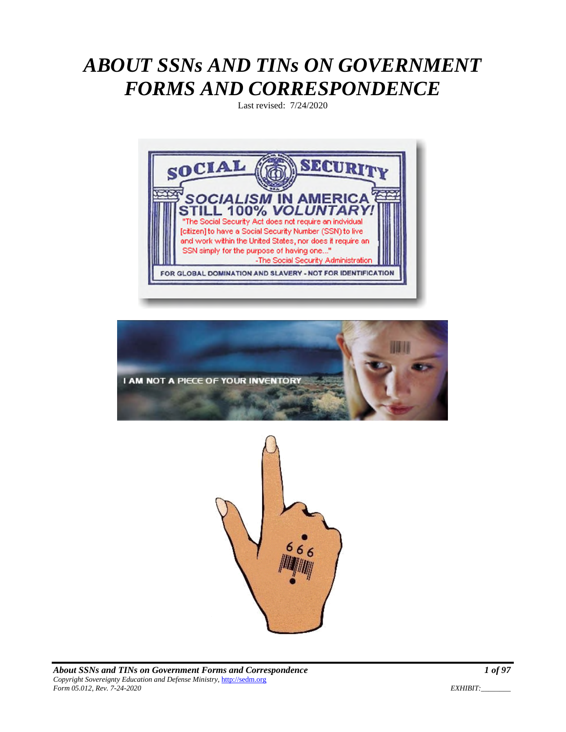# *ABOUT SSNs AND TINs ON GOVERNMENT FORMS AND CORRESPONDENCE*

Last revised: 7/24/2020





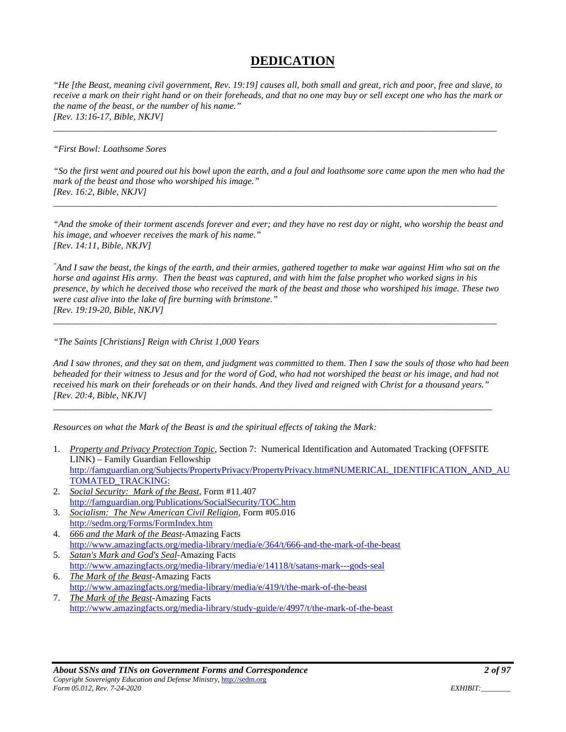#### **DEDICATION**

*"He [the Beast, meaning civil government, Rev. 19:19] causes all, both small and great, rich and poor, free and slave, to receive a mark on their right hand or on their foreheads, and that no one may buy or sell except one who has the mark or the name of the beast, or the number of his name." [Rev. 13:16-17, Bible, NKJV]* 

*\_\_\_\_\_\_\_\_\_\_\_\_\_\_\_\_\_\_\_\_\_\_\_\_\_\_\_\_\_\_\_\_\_\_\_\_\_\_\_\_\_\_\_\_\_\_\_\_\_\_\_\_\_\_\_\_\_\_\_\_\_\_\_\_\_\_\_\_\_\_\_\_\_\_\_\_\_\_\_\_\_\_\_\_\_\_\_\_\_\_\_\_\_\_\_\_* 

*"First Bowl: Loathsome Sores* 

*"So the first went and poured out his bowl upon the earth, and a foul and loathsome sore came upon the men who had the mark of the beast and those who worshiped his image." [Rev. 16:2, Bible, NKJV]* 

*\_\_\_\_\_\_\_\_\_\_\_\_\_\_\_\_\_\_\_\_\_\_\_\_\_\_\_\_\_\_\_\_\_\_\_\_\_\_\_\_\_\_\_\_\_\_\_\_\_\_\_\_\_\_\_\_\_\_\_\_\_\_\_\_\_\_\_\_\_\_\_\_\_\_\_\_\_\_\_\_\_\_\_\_\_\_\_\_\_\_\_\_\_\_\_\_* 

*"And the smoke of their torment ascends forever and ever; and they have no rest day or night, who worship the beast and his image, and whoever receives the mark of his name." [Rev. 14:11, Bible, NKJV]* 

*"And I saw the beast, the kings of the earth, and their armies, gathered together to make war against Him who sat on the horse and against His army. Then the beast was captured, and with him the false prophet who worked signs in his presence, by which he deceived those who received the mark of the beast and those who worshiped his image. These two were cast alive into the lake of fire burning with brimstone." [Rev. 19:19-20, Bible, NKJV]* 

*\_\_\_\_\_\_\_\_\_\_\_\_\_\_\_\_\_\_\_\_\_\_\_\_\_\_\_\_\_\_\_\_\_\_\_\_\_\_\_\_\_\_\_\_\_\_\_\_\_\_\_\_\_\_\_\_\_\_\_\_\_\_\_\_\_\_\_\_\_\_\_\_\_\_\_\_\_\_\_\_\_\_\_\_\_\_\_\_\_\_\_\_\_\_\_\_* 

*"The Saints [Christians] Reign with Christ 1,000 Years* 

*And I saw thrones, and they sat on them, and judgment was committed to them. Then I saw the souls of those who had been beheaded for their witness to Jesus and for the word of God, who had not worshiped the beast or his image, and had not received his mark on their foreheads or on their hands. And they lived and reigned with Christ for a thousand years." [Rev. 20:4, Bible, NKJV]* 

\_\_\_\_\_\_\_\_\_\_\_\_\_\_\_\_\_\_\_\_\_\_\_\_\_\_\_\_\_\_\_\_\_\_\_\_\_\_\_\_\_\_\_\_\_\_\_\_\_\_\_\_\_\_\_\_\_\_\_\_\_\_\_\_\_\_\_\_\_\_\_\_\_\_\_\_\_\_\_\_\_\_\_\_\_\_\_\_\_\_\_\_\_\_\_

*Resources on what the Mark of the Beast is and the spiritual effects of taking the Mark:* 

- 1. *Property and Privacy Protection Topic*, Section 7: Numerical Identification and Automated Tracking (OFFSITE LINK) – Family Guardian Fellowship http://famguardian.org/Subjects/PropertyPrivacy/PropertyPrivacy.htm#NUMERICAL\_IDENTIFICATION\_AND\_AU TOMATED\_TRACKING:
- 2. *Social Security: Mark of the Beast*, Form #11.407 http://famguardian.org/Publications/SocialSecurity/TOC.htm
- 3. *Socialism: The New American Civil Religion*, Form #05.016 http://sedm.org/Forms/FormIndex.htm
- 4. *666 and the Mark of the Beast*-Amazing Facts http://www.amazingfacts.org/media-library/media/e/364/t/666-and-the-mark-of-the-beast
- 5. *Satan's Mark and God's Seal*-Amazing Facts http://www.amazingfacts.org/media-library/media/e/14118/t/satans-mark---gods-seal
- 6. *The Mark of the Beast*-Amazing Facts http://www.amazingfacts.org/media-library/media/e/419/t/the-mark-of-the-beast
- 7. *The Mark of the Beast*-Amazing Facts http://www.amazingfacts.org/media-library/study-guide/e/4997/t/the-mark-of-the-beast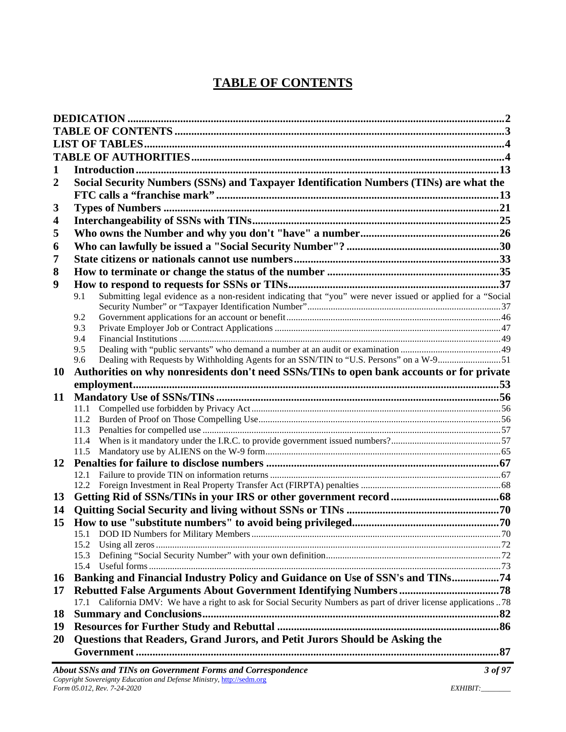# **TABLE OF CONTENTS**

| 1         |                                                                                                                     |  |
|-----------|---------------------------------------------------------------------------------------------------------------------|--|
| 2         | Social Security Numbers (SSNs) and Taxpayer Identification Numbers (TINs) are what the                              |  |
|           |                                                                                                                     |  |
| 3         |                                                                                                                     |  |
| 4         |                                                                                                                     |  |
| 5         |                                                                                                                     |  |
| 6         |                                                                                                                     |  |
| 7         |                                                                                                                     |  |
| 8         |                                                                                                                     |  |
| 9         |                                                                                                                     |  |
|           | Submitting legal evidence as a non-resident indicating that "you" were never issued or applied for a "Social<br>9.1 |  |
|           |                                                                                                                     |  |
|           | 9.2<br>9.3                                                                                                          |  |
|           | 9.4                                                                                                                 |  |
|           | 9.5                                                                                                                 |  |
|           | Dealing with Requests by Withholding Agents for an SSN/TIN to "U.S. Persons" on a W-951<br>9.6                      |  |
| 10        | Authorities on why nonresidents don't need SSNs/TINs to open bank accounts or for private                           |  |
|           |                                                                                                                     |  |
| 11        |                                                                                                                     |  |
|           | 11.2                                                                                                                |  |
|           | 11.3                                                                                                                |  |
|           | 11.4                                                                                                                |  |
|           | 11.5                                                                                                                |  |
| 12        |                                                                                                                     |  |
|           | 12.1                                                                                                                |  |
|           | 12.2                                                                                                                |  |
| 13        |                                                                                                                     |  |
| 14        |                                                                                                                     |  |
| 15        | 15.1                                                                                                                |  |
|           | 15.2                                                                                                                |  |
|           | 15.3                                                                                                                |  |
|           | 15.4                                                                                                                |  |
| <b>16</b> | Banking and Financial Industry Policy and Guidance on Use of SSN's and TINs74                                       |  |
| 17        |                                                                                                                     |  |
|           | 17.1 California DMV: We have a right to ask for Social Security Numbers as part of driver license applications  78  |  |
| 18        |                                                                                                                     |  |
| 19        |                                                                                                                     |  |
| <b>20</b> | Questions that Readers, Grand Jurors, and Petit Jurors Should be Asking the                                         |  |
|           |                                                                                                                     |  |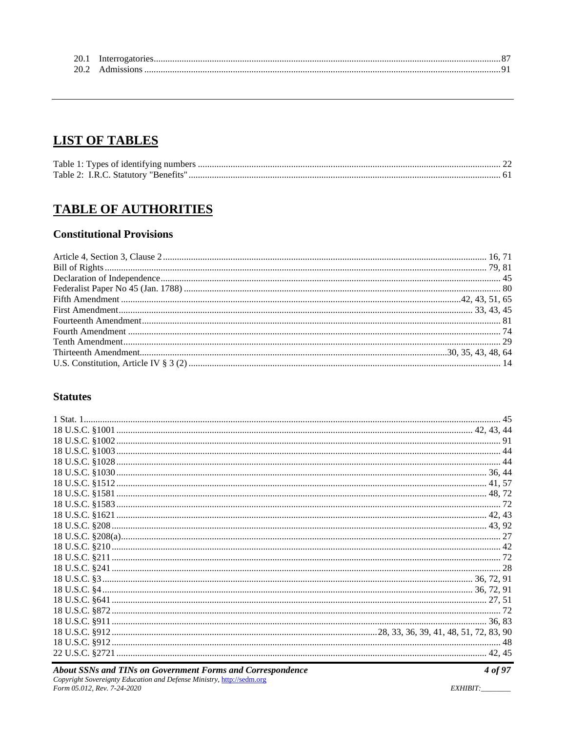# **LIST OF TABLES**

| Table 1: Types of identifying numbers |  |
|---------------------------------------|--|
| Table 2: I.R.C. Statutory "Benefits"  |  |

## **TABLE OF AUTHORITIES**

#### **Constitutional Provisions**

#### **Statutes**

| 36.83 |
|-------|
|       |
|       |
|       |
|       |

EXHIBIT:\_\_\_\_\_\_\_\_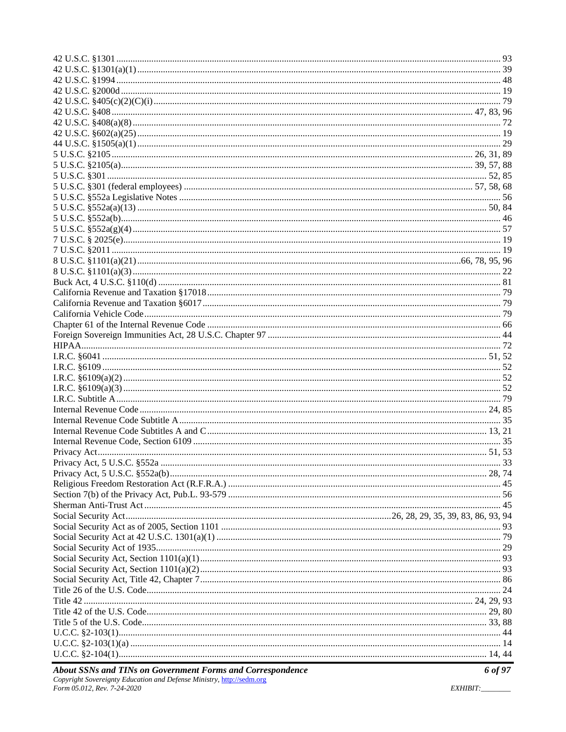| About SSMa and TIMa on Communicat Eorus and Correspondence | $\sqrt{107}$ |
|------------------------------------------------------------|--------------|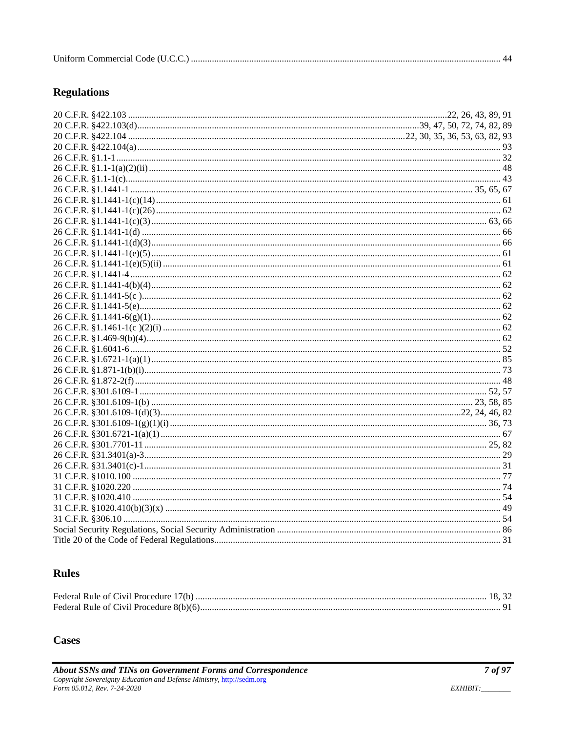| Uniform Commercial Code (U.C.C. |  |
|---------------------------------|--|
|---------------------------------|--|

#### **Regulations**

## **Rules**

#### **Cases**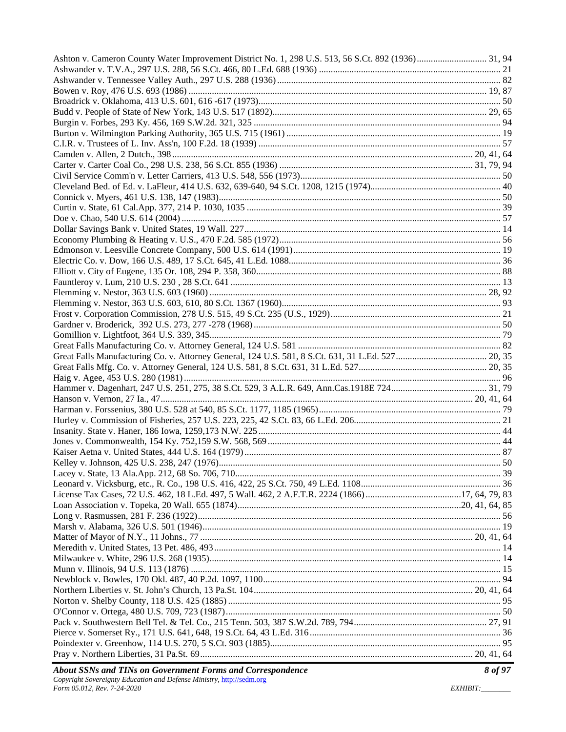| About SSNs and TINs on Government Forms and Correspondence | 8 of 97 |
|------------------------------------------------------------|---------|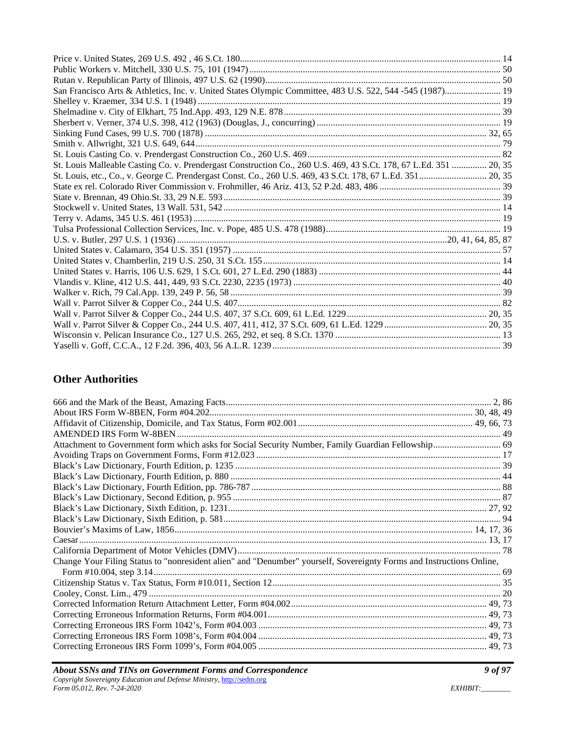| San Francisco Arts & Athletics, Inc. v. United States Olympic Committee, 483 U.S. 522, 544 -545 (1987) 19         |  |
|-------------------------------------------------------------------------------------------------------------------|--|
|                                                                                                                   |  |
|                                                                                                                   |  |
|                                                                                                                   |  |
|                                                                                                                   |  |
|                                                                                                                   |  |
|                                                                                                                   |  |
| St. Louis Malleable Casting Co. v. Prendergast Construction Co., 260 U.S. 469, 43 S.Ct. 178, 67 L.Ed. 351  20, 35 |  |
|                                                                                                                   |  |
|                                                                                                                   |  |
|                                                                                                                   |  |
|                                                                                                                   |  |
|                                                                                                                   |  |
|                                                                                                                   |  |
|                                                                                                                   |  |
|                                                                                                                   |  |
|                                                                                                                   |  |
|                                                                                                                   |  |
|                                                                                                                   |  |
|                                                                                                                   |  |
|                                                                                                                   |  |
|                                                                                                                   |  |
|                                                                                                                   |  |
|                                                                                                                   |  |
|                                                                                                                   |  |

#### **Other Authorities**

| Attachment to Government form which asks for Social Security Number, Family Guardian Fellowship 69                   |  |
|----------------------------------------------------------------------------------------------------------------------|--|
|                                                                                                                      |  |
|                                                                                                                      |  |
|                                                                                                                      |  |
|                                                                                                                      |  |
|                                                                                                                      |  |
|                                                                                                                      |  |
|                                                                                                                      |  |
|                                                                                                                      |  |
|                                                                                                                      |  |
|                                                                                                                      |  |
| Change Your Filing Status to "nonresident alien" and "Denumber" yourself, Sovereignty Forms and Instructions Online, |  |
|                                                                                                                      |  |
|                                                                                                                      |  |
|                                                                                                                      |  |
|                                                                                                                      |  |
|                                                                                                                      |  |
|                                                                                                                      |  |
|                                                                                                                      |  |
|                                                                                                                      |  |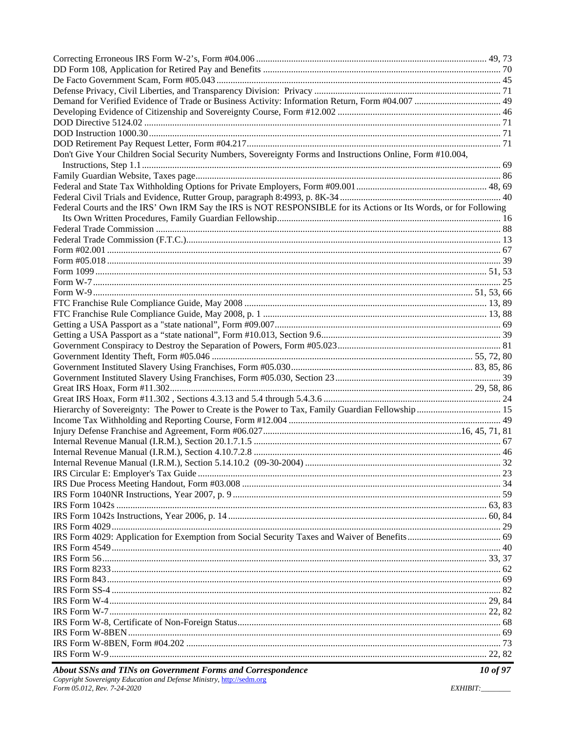| Don't Give Your Children Social Security Numbers, Sovereignty Forms and Instructions Online, Form #10.004,                                                                                                                                                                                                                                          |  |
|-----------------------------------------------------------------------------------------------------------------------------------------------------------------------------------------------------------------------------------------------------------------------------------------------------------------------------------------------------|--|
|                                                                                                                                                                                                                                                                                                                                                     |  |
|                                                                                                                                                                                                                                                                                                                                                     |  |
|                                                                                                                                                                                                                                                                                                                                                     |  |
|                                                                                                                                                                                                                                                                                                                                                     |  |
| Federal Courts and the IRS' Own IRM Say the IRS is NOT RESPONSIBLE for its Actions or Its Words, or for Following                                                                                                                                                                                                                                   |  |
|                                                                                                                                                                                                                                                                                                                                                     |  |
|                                                                                                                                                                                                                                                                                                                                                     |  |
|                                                                                                                                                                                                                                                                                                                                                     |  |
|                                                                                                                                                                                                                                                                                                                                                     |  |
|                                                                                                                                                                                                                                                                                                                                                     |  |
|                                                                                                                                                                                                                                                                                                                                                     |  |
|                                                                                                                                                                                                                                                                                                                                                     |  |
|                                                                                                                                                                                                                                                                                                                                                     |  |
|                                                                                                                                                                                                                                                                                                                                                     |  |
|                                                                                                                                                                                                                                                                                                                                                     |  |
|                                                                                                                                                                                                                                                                                                                                                     |  |
|                                                                                                                                                                                                                                                                                                                                                     |  |
|                                                                                                                                                                                                                                                                                                                                                     |  |
|                                                                                                                                                                                                                                                                                                                                                     |  |
|                                                                                                                                                                                                                                                                                                                                                     |  |
|                                                                                                                                                                                                                                                                                                                                                     |  |
|                                                                                                                                                                                                                                                                                                                                                     |  |
|                                                                                                                                                                                                                                                                                                                                                     |  |
|                                                                                                                                                                                                                                                                                                                                                     |  |
|                                                                                                                                                                                                                                                                                                                                                     |  |
|                                                                                                                                                                                                                                                                                                                                                     |  |
|                                                                                                                                                                                                                                                                                                                                                     |  |
|                                                                                                                                                                                                                                                                                                                                                     |  |
|                                                                                                                                                                                                                                                                                                                                                     |  |
|                                                                                                                                                                                                                                                                                                                                                     |  |
|                                                                                                                                                                                                                                                                                                                                                     |  |
|                                                                                                                                                                                                                                                                                                                                                     |  |
|                                                                                                                                                                                                                                                                                                                                                     |  |
|                                                                                                                                                                                                                                                                                                                                                     |  |
|                                                                                                                                                                                                                                                                                                                                                     |  |
|                                                                                                                                                                                                                                                                                                                                                     |  |
|                                                                                                                                                                                                                                                                                                                                                     |  |
|                                                                                                                                                                                                                                                                                                                                                     |  |
|                                                                                                                                                                                                                                                                                                                                                     |  |
|                                                                                                                                                                                                                                                                                                                                                     |  |
|                                                                                                                                                                                                                                                                                                                                                     |  |
|                                                                                                                                                                                                                                                                                                                                                     |  |
|                                                                                                                                                                                                                                                                                                                                                     |  |
|                                                                                                                                                                                                                                                                                                                                                     |  |
|                                                                                                                                                                                                                                                                                                                                                     |  |
|                                                                                                                                                                                                                                                                                                                                                     |  |
|                                                                                                                                                                                                                                                                                                                                                     |  |
|                                                                                                                                                                                                                                                                                                                                                     |  |
|                                                                                                                                                                                                                                                                                                                                                     |  |
| $\overline{a}$ , $\overline{a}$ , $\overline{a}$ , $\overline{a}$ , $\overline{a}$ , $\overline{a}$ , $\overline{a}$ , $\overline{a}$ , $\overline{a}$ , $\overline{a}$ , $\overline{a}$ , $\overline{a}$ , $\overline{a}$ , $\overline{a}$ , $\overline{a}$ , $\overline{a}$ , $\overline{a}$ , $\overline{a}$ , $\overline{a}$ , $\overline{a}$ , |  |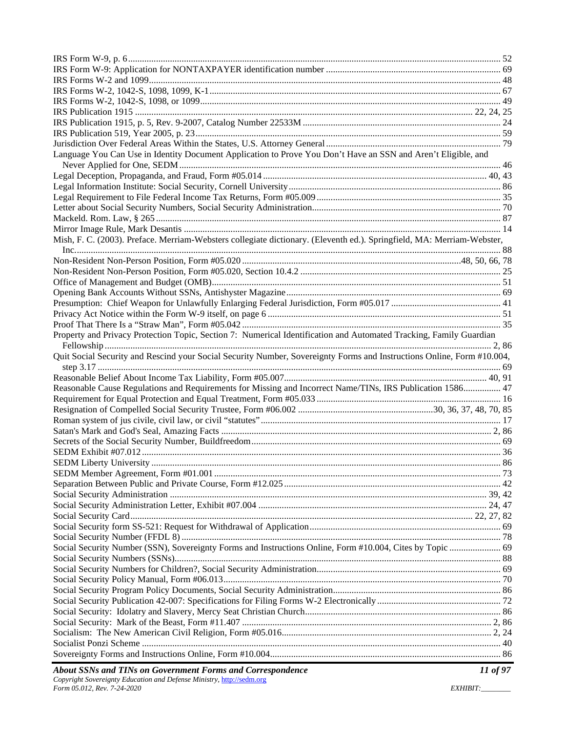| Language You Can Use in Identity Document Application to Prove You Don't Have an SSN and Aren't Eligible, and          |        |  |
|------------------------------------------------------------------------------------------------------------------------|--------|--|
|                                                                                                                        |        |  |
|                                                                                                                        |        |  |
|                                                                                                                        |        |  |
|                                                                                                                        |        |  |
|                                                                                                                        |        |  |
|                                                                                                                        |        |  |
| Mish, F. C. (2003). Preface. Merriam-Websters collegiate dictionary. (Eleventh ed.). Springfield, MA: Merriam-Webster, |        |  |
|                                                                                                                        |        |  |
|                                                                                                                        |        |  |
|                                                                                                                        |        |  |
|                                                                                                                        |        |  |
|                                                                                                                        |        |  |
|                                                                                                                        |        |  |
|                                                                                                                        |        |  |
|                                                                                                                        |        |  |
| Property and Privacy Protection Topic, Section 7: Numerical Identification and Automated Tracking, Family Guardian     |        |  |
| Quit Social Security and Rescind your Social Security Number, Sovereignty Forms and Instructions Online, Form #10.004, |        |  |
|                                                                                                                        |        |  |
| Reasonable Cause Regulations and Requirements for Missing and Incorrect Name/TINs, IRS Publication 1586 47             |        |  |
|                                                                                                                        |        |  |
|                                                                                                                        |        |  |
|                                                                                                                        |        |  |
|                                                                                                                        |        |  |
|                                                                                                                        |        |  |
|                                                                                                                        |        |  |
|                                                                                                                        |        |  |
|                                                                                                                        |        |  |
|                                                                                                                        |        |  |
|                                                                                                                        |        |  |
|                                                                                                                        |        |  |
|                                                                                                                        |        |  |
|                                                                                                                        |        |  |
|                                                                                                                        |        |  |
| Social Security Number (SSN), Sovereignty Forms and Instructions Online, Form #10.004, Cites by Topic  69              |        |  |
|                                                                                                                        |        |  |
|                                                                                                                        |        |  |
|                                                                                                                        |        |  |
|                                                                                                                        |        |  |
|                                                                                                                        |        |  |
|                                                                                                                        |        |  |
|                                                                                                                        |        |  |
|                                                                                                                        |        |  |
|                                                                                                                        |        |  |
| About SSNs and TINs on Concurrent Forms and Correspondence                                                             | 11.407 |  |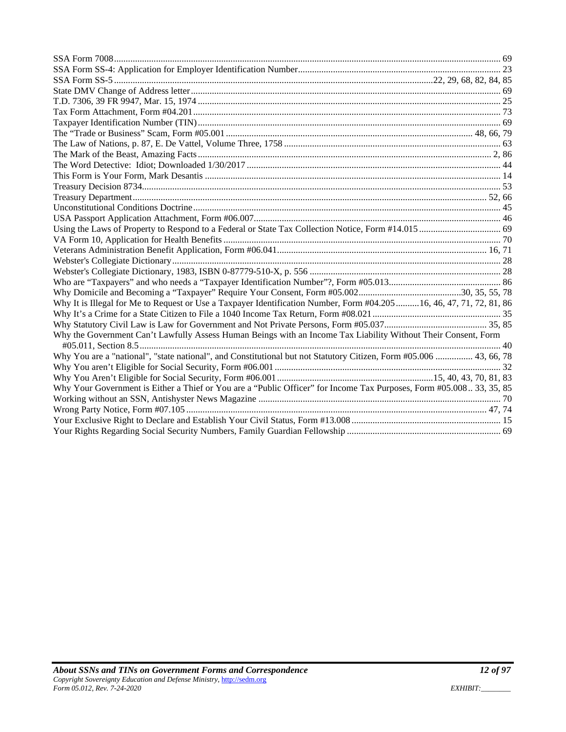| Why It is Illegal for Me to Request or Use a Taxpayer Identification Number, Form #04.205 16, 46, 47, 71, 72, 81, 86 |
|----------------------------------------------------------------------------------------------------------------------|
|                                                                                                                      |
|                                                                                                                      |
| Why the Government Can't Lawfully Assess Human Beings with an Income Tax Liability Without Their Consent, Form       |
| Why You are a "national", "state national", and Constitutional but not Statutory Citizen, Form #05.006  43, 66, 78   |
|                                                                                                                      |
|                                                                                                                      |
| Why Your Government is Either a Thief or You are a "Public Officer" for Income Tax Purposes, Form #05.00833, 35, 85  |
|                                                                                                                      |
|                                                                                                                      |
|                                                                                                                      |
|                                                                                                                      |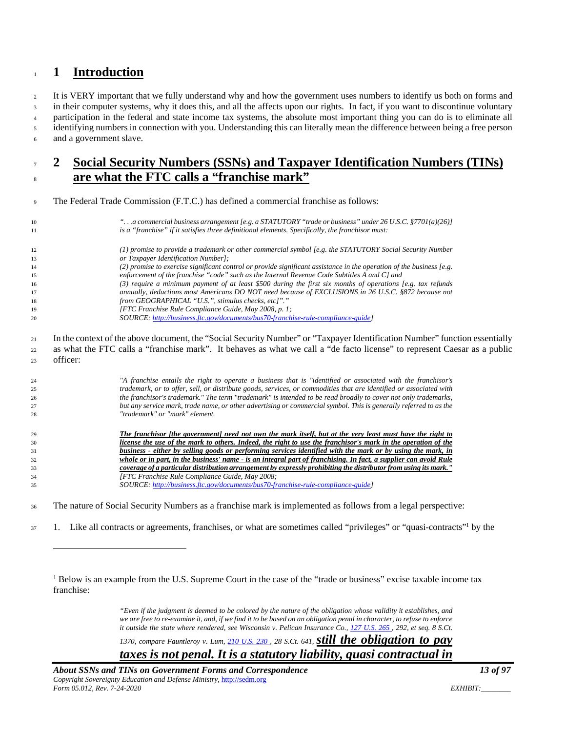#### **1 Introduction**

<sup>2</sup> It is VERY important that we fully understand why and how the government uses numbers to identify us both on forms and <sup>3</sup> in their computer systems, why it does this, and all the affects upon our rights. In fact, if you want to discontinue voluntary participation in the federal and state income tax systems, the absolute most important thing you can do is to eliminate all identifying numbers in connection with you. Understanding this can literally mean the difference between being a free person 6 and a government slave.

#### **2 Social Security Numbers (SSNs) and Taxpayer Identification Numbers (TINs) are what the FTC calls a "franchise mark"**

The Federal Trade Commission (F.T.C.) has defined a commercial franchise as follows:

| 10 | "a commercial business arrangement [e.g. a STATUTORY "trade or business" under 26 U.S.C. §7701(a)(26)]               |
|----|----------------------------------------------------------------------------------------------------------------------|
| 11 | is a "franchise" if it satisfies three definitional elements. Specifically, the franchisor must:                     |
| 12 | (1) promise to provide a trademark or other commercial symbol [e.g. the STATUTORY Social Security Number             |
| 13 | or Taxpayer Identification Number];                                                                                  |
| 14 | (2) promise to exercise significant control or provide significant assistance in the operation of the business [e.g. |
| 15 | enforcement of the franchise "code" such as the Internal Revenue Code Subtitles A and C] and                         |
| 16 | (3) require a minimum payment of at least \$500 during the first six months of operations [e.g. tax refunds]         |
| 17 | annually, deductions most Americans DO NOT need because of EXCLUSIONS in 26 U.S.C. §872 because not                  |
| 18 | from GEOGRAPHICAL "U.S.", stimulus checks, etc]"."                                                                   |
| 19 | [FTC Franchise Rule Compliance Guide, May 2008, p. 1;                                                                |
| 20 | SOURCE: http://business.ftc.gov/documents/bus70-franchise-rule-compliance-guide]                                     |
|    |                                                                                                                      |

In the context of the above document, the "Social Security Number" or "Taxpayer Identification Number" function essentially as what the FTC calls a "franchise mark". It behaves as what we call a "de facto license" to represent Caesar as a public 23 officer:

*"A franchise entails the right to operate a business that is "identified or associated with the franchisor's trademark, or to offer, sell, or distribute goods, services, or commodities that are identified or associated with the franchisor's trademark." The term "trademark" is intended to be read broadly to cover not only trademarks, but any service mark, trade name, or other advertising or commercial symbol. This is generally referred to as the "trademark" or "mark" element.* 

*The franchisor [the government] need not own the mark itself, but at the very least must have the right to license the use of the mark to others. Indeed, the right to use the franchisor's mark in the operation of the business - either by selling goods or performing services identified with the mark or by using the mark, in whole or in part, in the business' name - is an integral part of franchising. In fact, a supplier can avoid Rule coverage of a particular distribution arrangement by expressly prohibiting the distributor from using its mark." [FTC Franchise Rule Compliance Guide, May 2008; SOURCE: http://business.ftc.gov/documents/bus70-franchise-rule-compliance-guide]* 

The nature of Social Security Numbers as a franchise mark is implemented as follows from a legal perspective:

37 1. Like all contracts or agreements, franchises, or what are sometimes called "privileges" or "quasi-contracts" by the

*"Even if the judgment is deemed to be colored by the nature of the obligation whose validity it establishes, and we are free to re-examine it, and, if we find it to be based on an obligation penal in character, to refuse to enforce it outside the state where rendered, see Wisconsin v. Pelican Insurance Co., 127 U.S. 265 , 292, et seq. 8 S.Ct.* 

*1370, compare Fauntleroy v. Lum, 210 U.S. 230 , 28 S.Ct. 641, still the obligation to pay* 

*taxes is not penal. It is a statutory liability, quasi contractual in* 

<sup>&</sup>lt;sup>1</sup> Below is an example from the U.S. Supreme Court in the case of the "trade or business" excise taxable income tax franchise: